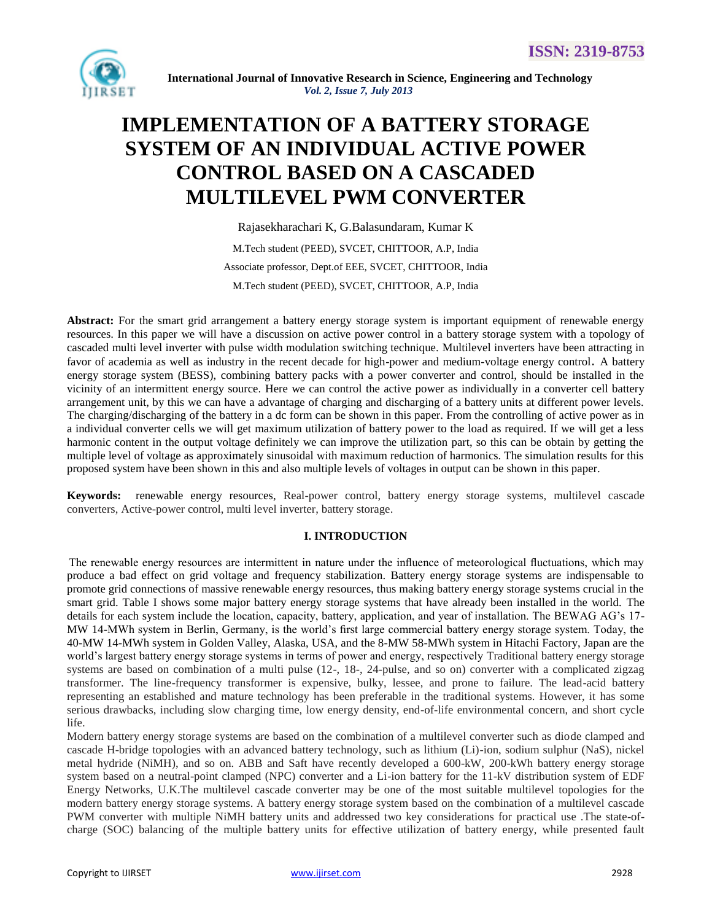

# **IMPLEMENTATION OF A BATTERY STORAGE SYSTEM OF AN INDIVIDUAL ACTIVE POWER CONTROL BASED ON A CASCADED MULTILEVEL PWM CONVERTER**

Rajasekharachari K, G.Balasundaram, Kumar K M.Tech student (PEED), SVCET, CHITTOOR, A.P, India Associate professor, Dept.of EEE, SVCET, CHITTOOR, India M.Tech student (PEED), SVCET, CHITTOOR, A.P, India

Abstract: For the smart grid arrangement a battery energy storage system is important equipment of renewable energy resources. In this paper we will have a discussion on active power control in a battery storage system with a topology of cascaded multi level inverter with pulse width modulation switching technique. Multilevel inverters have been attracting in favor of academia as well as industry in the recent decade for high-power and medium-voltage energy control. A battery energy storage system (BESS), combining battery packs with a power converter and control, should be installed in the vicinity of an intermittent energy source. Here we can control the active power as individually in a converter cell battery arrangement unit, by this we can have a advantage of charging and discharging of a battery units at different power levels. The charging/discharging of the battery in a dc form can be shown in this paper. From the controlling of active power as in a individual converter cells we will get maximum utilization of battery power to the load as required. If we will get a less harmonic content in the output voltage definitely we can improve the utilization part, so this can be obtain by getting the multiple level of voltage as approximately sinusoidal with maximum reduction of harmonics. The simulation results for this proposed system have been shown in this and also multiple levels of voltages in output can be shown in this paper.

**Keywords:** renewable energy resources, Real-power control, battery energy storage systems, multilevel cascade converters, Active-power control, multi level inverter, battery storage.

# **I. INTRODUCTION**

The renewable energy resources are intermittent in nature under the influence of meteorological fluctuations, which may produce a bad effect on grid voltage and frequency stabilization. Battery energy storage systems are indispensable to promote grid connections of massive renewable energy resources, thus making battery energy storage systems crucial in the smart grid. Table I shows some major battery energy storage systems that have already been installed in the world. The details for each system include the location, capacity, battery, application, and year of installation. The BEWAG AG's 17- MW 14-MWh system in Berlin, Germany, is the world's first large commercial battery energy storage system. Today, the 40-MW 14-MWh system in Golden Valley, Alaska, USA, and the 8-MW 58-MWh system in Hitachi Factory, Japan are the world's largest battery energy storage systems in terms of power and energy, respectively Traditional battery energy storage systems are based on combination of a multi pulse (12-, 18-, 24-pulse, and so on) converter with a complicated zigzag transformer. The line-frequency transformer is expensive, bulky, lessee, and prone to failure. The lead-acid battery representing an established and mature technology has been preferable in the traditional systems. However, it has some serious drawbacks, including slow charging time, low energy density, end-of-life environmental concern, and short cycle life.

Modern battery energy storage systems are based on the combination of a multilevel converter such as diode clamped and cascade H-bridge topologies with an advanced battery technology, such as lithium (Li)-ion, sodium sulphur (NaS), nickel metal hydride (NiMH), and so on. ABB and Saft have recently developed a 600-kW, 200-kWh battery energy storage system based on a neutral-point clamped (NPC) converter and a Li-ion battery for the 11-kV distribution system of EDF Energy Networks, U.K.The multilevel cascade converter may be one of the most suitable multilevel topologies for the modern battery energy storage systems. A battery energy storage system based on the combination of a multilevel cascade PWM converter with multiple NiMH battery units and addressed two key considerations for practical use .The state-ofcharge (SOC) balancing of the multiple battery units for effective utilization of battery energy, while presented fault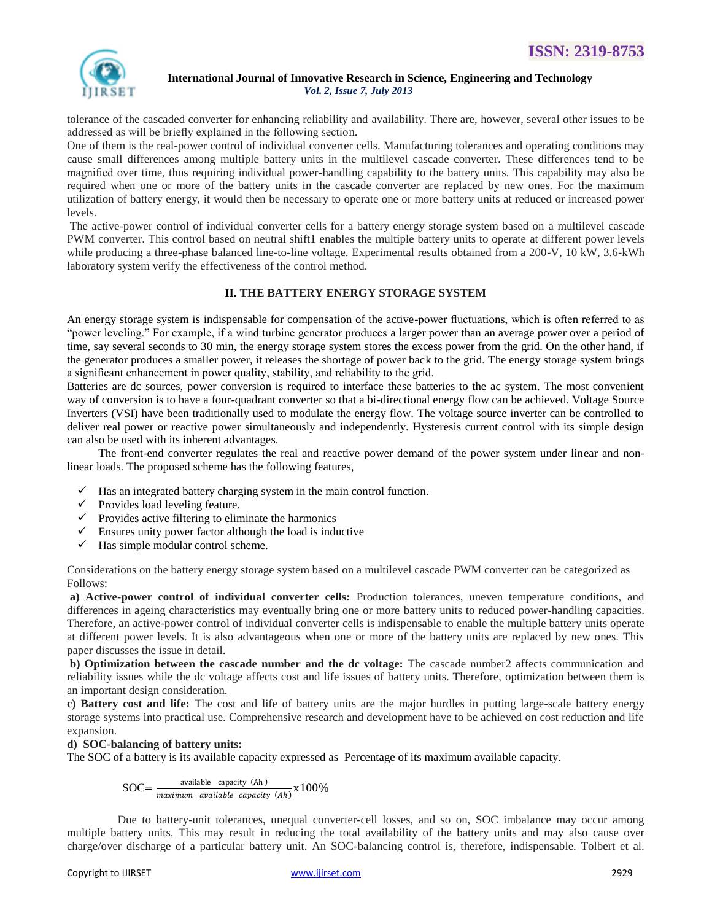

tolerance of the cascaded converter for enhancing reliability and availability. There are, however, several other issues to be addressed as will be briefly explained in the following section.

One of them is the real-power control of individual converter cells. Manufacturing tolerances and operating conditions may cause small differences among multiple battery units in the multilevel cascade converter. These differences tend to be magnified over time, thus requiring individual power-handling capability to the battery units. This capability may also be required when one or more of the battery units in the cascade converter are replaced by new ones. For the maximum utilization of battery energy, it would then be necessary to operate one or more battery units at reduced or increased power levels.

The active-power control of individual converter cells for a battery energy storage system based on a multilevel cascade PWM converter. This control based on neutral shift1 enables the multiple battery units to operate at different power levels while producing a three-phase balanced line-to-line voltage. Experimental results obtained from a 200-V, 10 kW, 3.6-kWh laboratory system verify the effectiveness of the control method.

# **II. THE BATTERY ENERGY STORAGE SYSTEM**

An energy storage system is indispensable for compensation of the active-power fluctuations, which is often referred to as "power leveling." For example, if a wind turbine generator produces a larger power than an average power over a period of time, say several seconds to 30 min, the energy storage system stores the excess power from the grid. On the other hand, if the generator produces a smaller power, it releases the shortage of power back to the grid. The energy storage system brings a significant enhancement in power quality, stability, and reliability to the grid.

Batteries are dc sources, power conversion is required to interface these batteries to the ac system. The most convenient way of conversion is to have a four-quadrant converter so that a bi-directional energy flow can be achieved. Voltage Source Inverters (VSI) have been traditionally used to modulate the energy flow. The voltage source inverter can be controlled to deliver real power or reactive power simultaneously and independently. Hysteresis current control with its simple design can also be used with its inherent advantages.

The front-end converter regulates the real and reactive power demand of the power system under linear and nonlinear loads. The proposed scheme has the following features,

- $\checkmark$  Has an integrated battery charging system in the main control function.
- $\checkmark$  Provides load leveling feature.
- $\checkmark$  Provides active filtering to eliminate the harmonics
- $\checkmark$  Ensures unity power factor although the load is inductive
- $\checkmark$  Has simple modular control scheme.

Considerations on the battery energy storage system based on a multilevel cascade PWM converter can be categorized as Follows:

**a) Active-power control of individual converter cells:** Production tolerances, uneven temperature conditions, and differences in ageing characteristics may eventually bring one or more battery units to reduced power-handling capacities. Therefore, an active-power control of individual converter cells is indispensable to enable the multiple battery units operate at different power levels. It is also advantageous when one or more of the battery units are replaced by new ones. This paper discusses the issue in detail.

**b) Optimization between the cascade number and the dc voltage:** The cascade number2 affects communication and reliability issues while the dc voltage affects cost and life issues of battery units. Therefore, optimization between them is an important design consideration.

**c) Battery cost and life:** The cost and life of battery units are the major hurdles in putting large-scale battery energy storage systems into practical use. Comprehensive research and development have to be achieved on cost reduction and life expansion.

# **d) SOC-balancing of battery units:**

The SOC of a battery is its available capacity expressed as Percentage of its maximum available capacity.

$$
SOC = \frac{\text{available capacity (Ah)}}{\text{maximum available capacity (Ah)}} \times 100\%
$$

 Due to battery-unit tolerances, unequal converter-cell losses, and so on, SOC imbalance may occur among multiple battery units. This may result in reducing the total availability of the battery units and may also cause over charge/over discharge of a particular battery unit. An SOC-balancing control is, therefore, indispensable. Tolbert et al.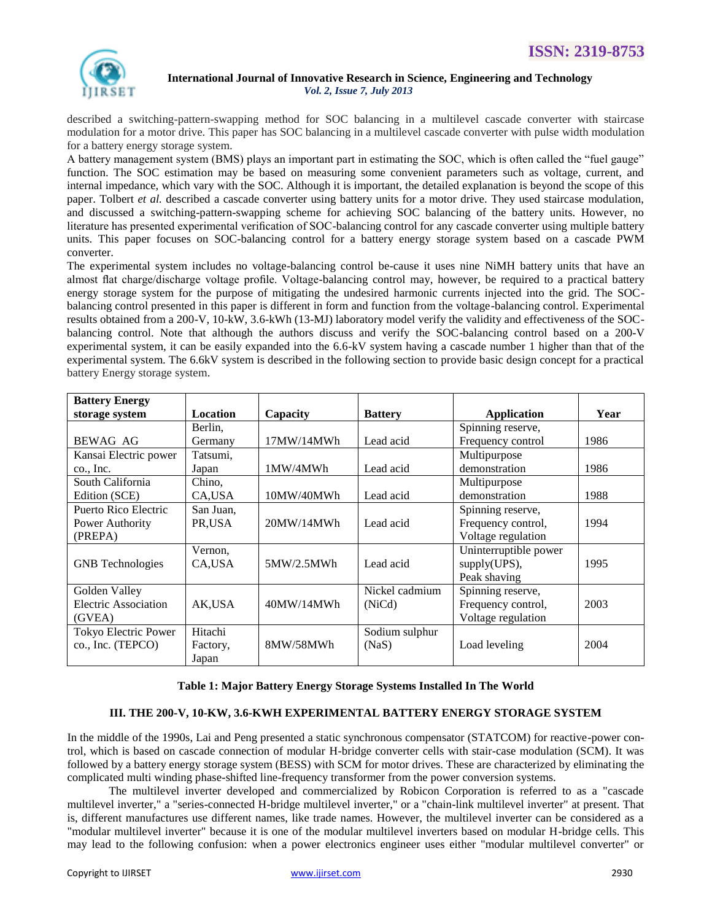

described a switching-pattern-swapping method for SOC balancing in a multilevel cascade converter with staircase modulation for a motor drive. This paper has SOC balancing in a multilevel cascade converter with pulse width modulation for a battery energy storage system.

A battery management system (BMS) plays an important part in estimating the SOC, which is often called the "fuel gauge" function. The SOC estimation may be based on measuring some convenient parameters such as voltage, current, and internal impedance, which vary with the SOC. Although it is important, the detailed explanation is beyond the scope of this paper. Tolbert *et al.* described a cascade converter using battery units for a motor drive. They used staircase modulation, and discussed a switching-pattern-swapping scheme for achieving SOC balancing of the battery units. However, no literature has presented experimental verification of SOC-balancing control for any cascade converter using multiple battery units. This paper focuses on SOC-balancing control for a battery energy storage system based on a cascade PWM converter.

The experimental system includes no voltage-balancing control be-cause it uses nine NiMH battery units that have an almost flat charge/discharge voltage profile. Voltage-balancing control may, however, be required to a practical battery energy storage system for the purpose of mitigating the undesired harmonic currents injected into the grid. The SOCbalancing control presented in this paper is different in form and function from the voltage-balancing control. Experimental results obtained from a 200-V, 10-kW, 3.6-kWh (13-MJ) laboratory model verify the validity and effectiveness of the SOCbalancing control. Note that although the authors discuss and verify the SOC-balancing control based on a 200-V experimental system, it can be easily expanded into the 6.6-kV system having a cascade number 1 higher than that of the experimental system. The 6.6kV system is described in the following section to provide basic design concept for a practical battery Energy storage system.

| <b>Battery Energy</b>   |                 |                         |                |                       |      |
|-------------------------|-----------------|-------------------------|----------------|-----------------------|------|
| storage system          | <b>Location</b> | Capacity                | <b>Battery</b> | Application           | Year |
|                         | Berlin,         |                         |                | Spinning reserve,     |      |
| BEWAG AG                | Germany         | 17MW/14MWh<br>Lead acid |                | Frequency control     | 1986 |
| Kansai Electric power   | Tatsumi,        |                         |                | Multipurpose          |      |
| co., Inc.<br>Japan      |                 | 1MW/4MWh<br>Lead acid   |                | demonstration         | 1986 |
| South California        | Chino,          |                         |                | Multipurpose          |      |
| Edition (SCE)           | CA,USA          | 10MW/40MWh              | Lead acid      | demonstration         | 1988 |
| Puerto Rico Electric    | San Juan,       |                         |                | Spinning reserve,     |      |
| Power Authority         | PR,USA          | 20MW/14MWh              | Lead acid      | Frequency control,    | 1994 |
| (PREPA)                 |                 |                         |                | Voltage regulation    |      |
|                         | Vernon,         |                         |                | Uninterruptible power |      |
| <b>GNB</b> Technologies | CA,USA          | 5MW/2.5MWh              | Lead acid      | supply(UPS),          | 1995 |
|                         |                 |                         |                | Peak shaving          |      |
| Golden Valley           |                 |                         | Nickel cadmium | Spinning reserve,     |      |
| Electric Association    | AK,USA          | 40MW/14MWh              | (NiCd)         | Frequency control,    | 2003 |
| (GVEA)                  |                 |                         |                | Voltage regulation    |      |
| Tokyo Electric Power    | Hitachi         |                         | Sodium sulphur |                       |      |
| co., Inc. (TEPCO)       | Factory,        | 8MW/58MWh               | (NaS)          | Load leveling         | 2004 |
|                         | Japan           |                         |                |                       |      |

# **Table 1: Major Battery Energy Storage Systems Installed In The World**

# **III. THE 200-V, 10-KW, 3.6-KWH EXPERIMENTAL BATTERY ENERGY STORAGE SYSTEM**

In the middle of the 1990s, Lai and Peng presented a static synchronous compensator (STATCOM) for reactive-power control, which is based on cascade connection of modular H-bridge converter cells with stair-case modulation (SCM). It was followed by a battery energy storage system (BESS) with SCM for motor drives. These are characterized by eliminating the complicated multi winding phase-shifted line-frequency transformer from the power conversion systems.

The multilevel inverter developed and commercialized by Robicon Corporation is referred to as a "cascade multilevel inverter," a "series-connected H-bridge multilevel inverter," or a "chain-link multilevel inverter" at present. That is, different manufactures use different names, like trade names. However, the multilevel inverter can be considered as a "modular multilevel inverter" because it is one of the modular multilevel inverters based on modular H-bridge cells. This may lead to the following confusion: when a power electronics engineer uses either "modular multilevel converter" or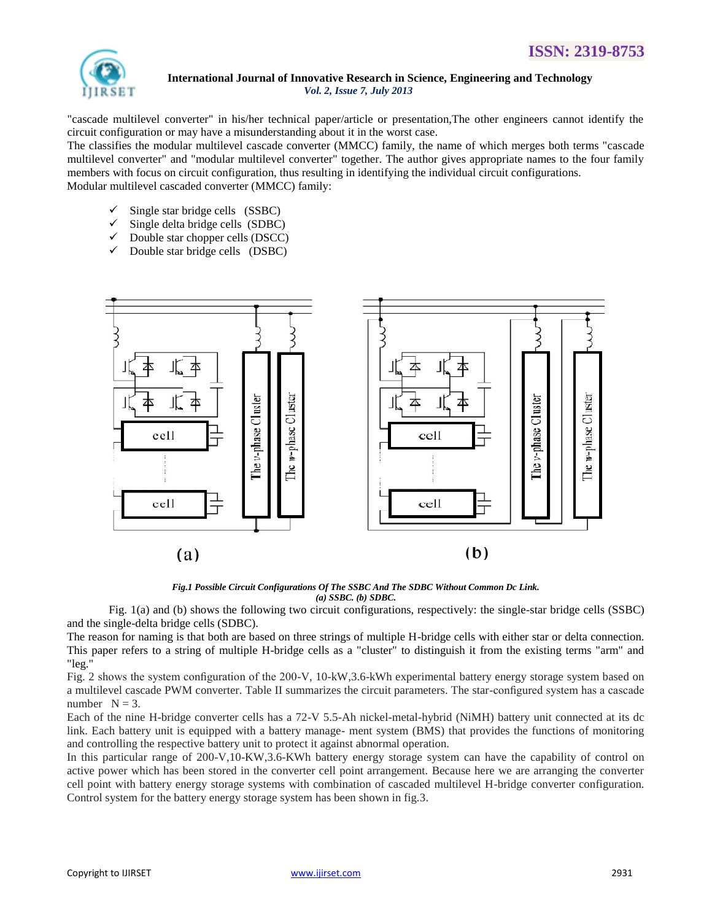

"cascade multilevel converter" in his/her technical paper/article or presentation,The other engineers cannot identify the circuit configuration or may have a misunderstanding about it in the worst case.

The classifies the modular multilevel cascade converter (MMCC) family, the name of which merges both terms "cascade multilevel converter" and "modular multilevel converter" together. The author gives appropriate names to the four family members with focus on circuit configuration, thus resulting in identifying the individual circuit configurations. Modular multilevel cascaded converter (MMCC) family:

- Single star bridge cells (SSBC)
- Single delta bridge cells (SDBC)
- Double star chopper cells (DSCC)
- $\checkmark$  Double star bridge cells (DSBC)



*Fig.1 Possible Circuit Configurations Of The SSBC And The SDBC Without Common Dc Link. (a) SSBC. (b) SDBC.*

Fig. 1(a) and (b) shows the following two circuit configurations, respectively: the single-star bridge cells (SSBC) and the single-delta bridge cells (SDBC).

The reason for naming is that both are based on three strings of multiple H-bridge cells with either star or delta connection. This paper refers to a string of multiple H-bridge cells as a "cluster" to distinguish it from the existing terms "arm" and "leg."

Fig. 2 shows the system configuration of the 200-V, 10-kW,3.6-kWh experimental battery energy storage system based on a multilevel cascade PWM converter. Table II summarizes the circuit parameters. The star-configured system has a cascade number  $N = 3$ .

Each of the nine H-bridge converter cells has a 72-V 5.5-Ah nickel-metal-hybrid (NiMH) battery unit connected at its dc link. Each battery unit is equipped with a battery manage- ment system (BMS) that provides the functions of monitoring and controlling the respective battery unit to protect it against abnormal operation.

In this particular range of 200-V,10-KW,3.6-KWh battery energy storage system can have the capability of control on active power which has been stored in the converter cell point arrangement. Because here we are arranging the converter cell point with battery energy storage systems with combination of cascaded multilevel H-bridge converter configuration. Control system for the battery energy storage system has been shown in fig.3.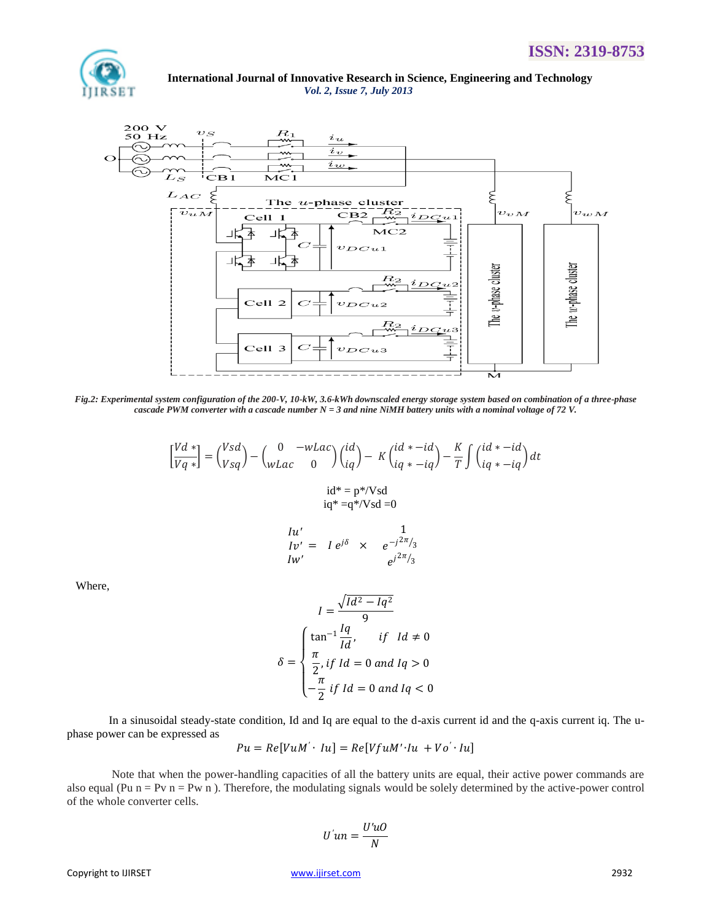

 **International Journal of Innovative Research in Science, Engineering and Technology** *Vol. 2, Issue 7, July 2013*



*Fig.2: Experimental system configuration of the 200-V, 10-kW, 3.6-kWh downscaled energy storage system based on combination of a three-phase cascade PWM converter with a cascade number N = 3 and nine NiMH battery units with a nominal voltage of 72 V.*

$$
\begin{aligned} \left[\frac{Vd\,*}{Vq\,*}\right] &= \binom{Vsd}{Vsq} - \binom{0\quad-wLac}{wLac} \binom{id}{i} - K \binom{id\,* - id}{iq\,* - iq} - \frac{K}{T} \int \binom{id\,* - id}{iq\,* - iq} dt \\ &\text{if}\, i = p\,*/Vsd \\ &\text{if}\, i = q\,*/Vsd = 0 \end{aligned}
$$

$$
Iu' = I e^{j\delta} \times e^{-j\frac{1}{2\pi}}/3
$$
  

$$
Iw' = e^{j\delta} \times e^{-j\frac{1}{2\pi}}/3
$$

Where,

$$
I = \frac{\sqrt{Id^2 - Iq^2}}{9}
$$

$$
\delta = \begin{cases} \tan^{-1} \frac{Iq}{Id}, & \text{if } Id \neq 0 \\ \frac{\pi}{2}, & \text{if } Id = 0 \text{ and } Iq > 0 \\ -\frac{\pi}{2} \text{ if } Id = 0 \text{ and } Iq < 0 \end{cases}
$$

In a sinusoidal steady-state condition, Id and Iq are equal to the d-axis current id and the q-axis current iq. The uphase power can be expressed as

$$
Pu = Re[VuM' \cdot Iu] = Re[VfuM' \cdot Iu + Vo' \cdot Iu]
$$

Note that when the power-handling capacities of all the battery units are equal, their active power commands are also equal (Pu  $n = Pv$  n = Pw n). Therefore, the modulating signals would be solely determined by the active-power control of the whole converter cells.

$$
U'un = \frac{U'uO}{N}
$$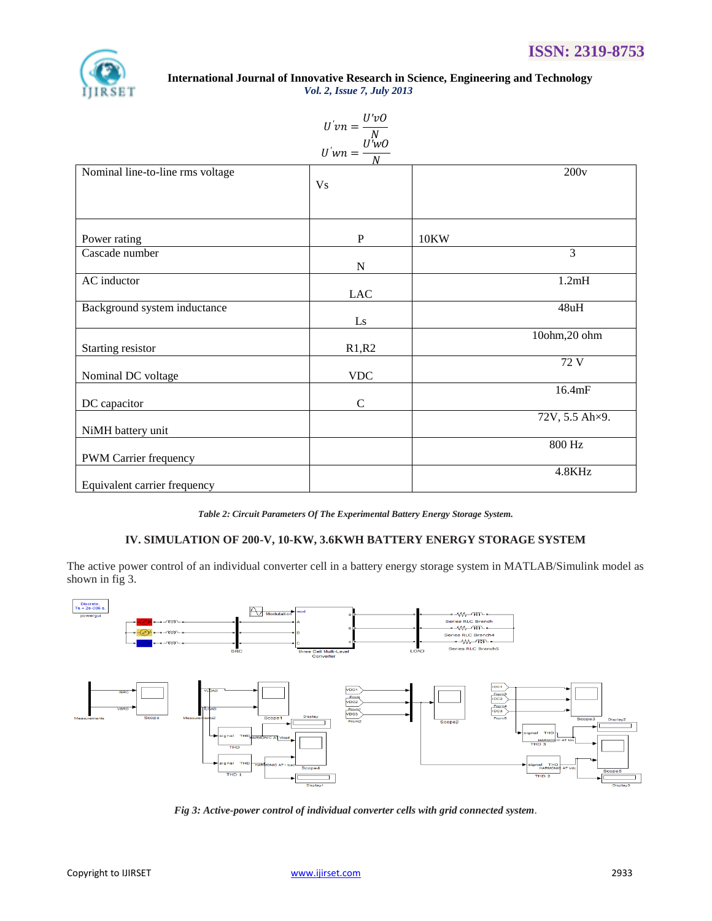

|                                  | $U'vn = \frac{U'vO}{N}$<br>$U'wn = \frac{U'wO}{N}$ |             |                |
|----------------------------------|----------------------------------------------------|-------------|----------------|
| Nominal line-to-line rms voltage | V <sub>S</sub>                                     |             | 200v           |
| Power rating                     | P                                                  | <b>10KW</b> |                |
| Cascade number                   | ${\bf N}$                                          |             | $\overline{3}$ |
| AC inductor                      | $_{\rm LAC}$                                       |             | 1.2mH          |
| Background system inductance     | Ls                                                 |             | 48uH           |
| Starting resistor                | R1,R2                                              |             | 10ohm,20 ohm   |
| Nominal DC voltage               | <b>VDC</b>                                         |             | 72 V           |
| DC capacitor                     | $\mathcal{C}$                                      |             | 16.4mF         |
| NiMH battery unit                |                                                    |             | 72V, 5.5 Ah×9. |
| PWM Carrier frequency            |                                                    |             | 800 Hz         |
| Equivalent carrier frequency     |                                                    |             | 4.8KHz         |

*Table 2: Circuit Parameters Of The Experimental Battery Energy Storage System.*

# **IV. SIMULATION OF 200-V, 10-KW, 3.6KWH BATTERY ENERGY STORAGE SYSTEM**

The active power control of an individual converter cell in a battery energy storage system in MATLAB/Simulink model as shown in fig 3.



*Fig 3: Active-power control of individual converter cells with grid connected system.*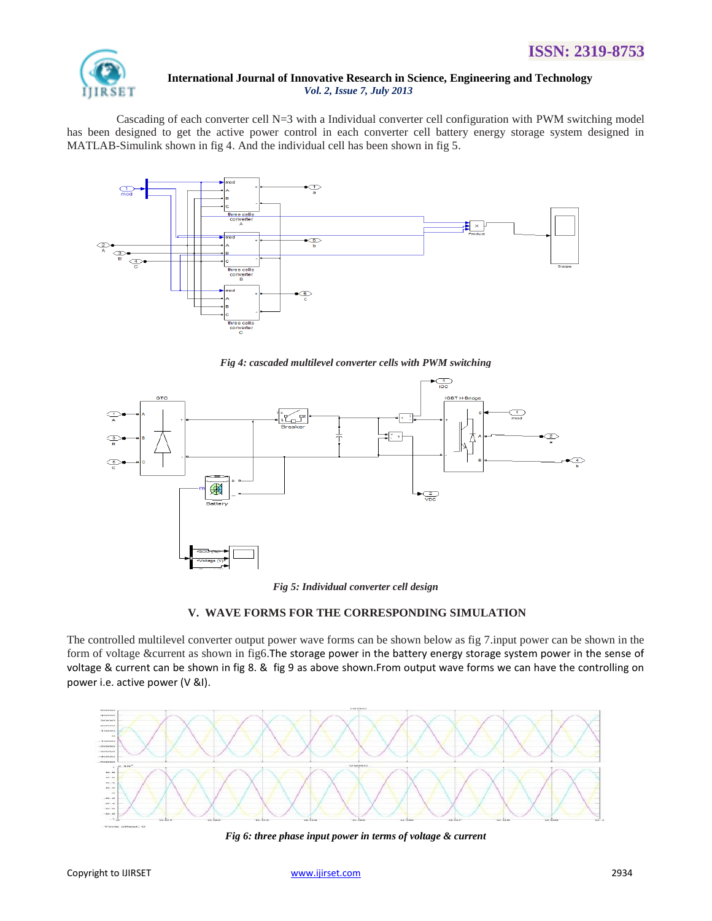

 Cascading of each converter cell N=3 with a Individual converter cell configuration with PWM switching model has been designed to get the active power control in each converter cell battery energy storage system designed in MATLAB-Simulink shown in fig 4. And the individual cell has been shown in fig 5.



*Fig 4: cascaded multilevel converter cells with PWM switching*



*Fig 5: Individual converter cell design*

# **V. WAVE FORMS FOR THE CORRESPONDING SIMULATION**

The controlled multilevel converter output power wave forms can be shown below as fig 7.input power can be shown in the form of voltage &current as shown in fig6.The storage power in the battery energy storage system power in the sense of voltage & current can be shown in fig 8. & fig 9 as above shown.From output wave forms we can have the controlling on power i.e. active power (V &I).



*Fig 6: three phase input power in terms of voltage & current*